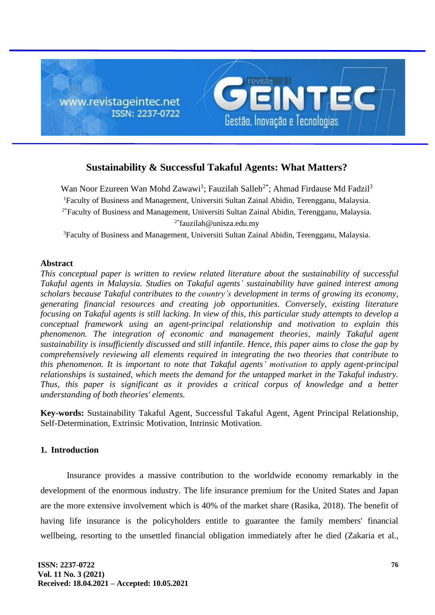

# **Sustainability & Successful Takaful Agents: What Matters?**

Wan Noor Ezureen Wan Mohd Zawawi<sup>1</sup>; Fauzilah Salleh<sup>2\*</sup>; Ahmad Firdause Md Fadzil<sup>3</sup> <sup>1</sup>Faculty of Business and Management, Universiti Sultan Zainal Abidin, Terengganu, Malaysia.  $2*$ Faculty of Business and Management, Universiti Sultan Zainal Abidin, Terengganu, Malaysia. 2\*fauzilah@unisza.edu.my

<sup>3</sup>Faculty of Business and Management, Universiti Sultan Zainal Abidin, Terengganu, Malaysia.

#### **Abstract**

*This conceptual paper is written to review related literature about the sustainability of successful Takaful agents in Malaysia. Studies on Takaful agents' sustainability have gained interest among scholars because Takaful contributes to the country's development in terms of growing its economy, generating financial resources and creating job opportunities. Conversely, existing literature focusing on Takaful agents is still lacking. In view of this, this particular study attempts to develop a conceptual framework using an agent-principal relationship and motivation to explain this phenomenon. The integration of economic and management theories, mainly Takaful agent sustainability is insufficiently discussed and still infantile. Hence, this paper aims to close the gap by comprehensively reviewing all elements required in integrating the two theories that contribute to this phenomenon. It is important to note that Takaful agents' motivation to apply agent-principal relationships is sustained, which meets the demand for the untapped market in the Takaful industry. Thus, this paper is significant as it provides a critical corpus of knowledge and a better understanding of both theories' elements.*

**Key-words:** Sustainability Takaful Agent, Successful Takaful Agent, Agent Principal Relationship, Self-Determination, Extrinsic Motivation, Intrinsic Motivation.

## **1. Introduction**

Insurance provides a massive contribution to the worldwide economy remarkably in the development of the enormous industry. The life insurance premium for the United States and Japan are the more extensive involvement which is 40% of the market share (Rasika, 2018). The benefit of having life insurance is the policyholders entitle to guarantee the family members' financial wellbeing, resorting to the unsettled financial obligation immediately after he died (Zakaria et al.,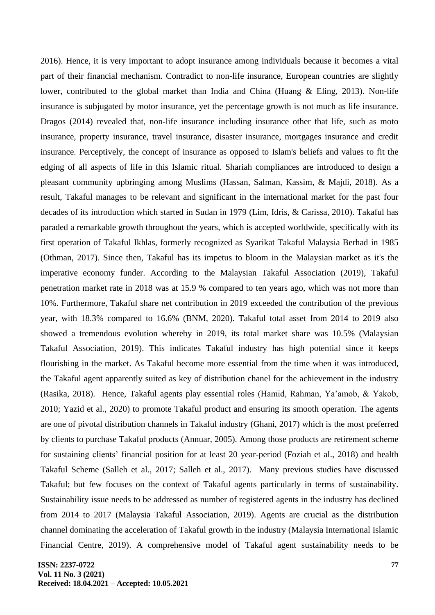2016). Hence, it is very important to adopt insurance among individuals because it becomes a vital part of their financial mechanism. Contradict to non-life insurance, European countries are slightly lower, contributed to the global market than India and China (Huang & Eling, 2013). Non-life insurance is subjugated by motor insurance, yet the percentage growth is not much as life insurance. Dragos (2014) revealed that, non-life insurance including insurance other that life, such as moto insurance, property insurance, travel insurance, disaster insurance, mortgages insurance and credit insurance. Perceptively, the concept of insurance as opposed to Islam's beliefs and values to fit the edging of all aspects of life in this Islamic ritual. Shariah compliances are introduced to design a pleasant community upbringing among Muslims (Hassan, Salman, Kassim, & Majdi, 2018). As a result, Takaful manages to be relevant and significant in the international market for the past four decades of its introduction which started in Sudan in 1979 (Lim, Idris, & Carissa, 2010). Takaful has paraded a remarkable growth throughout the years, which is accepted worldwide, specifically with its first operation of Takaful Ikhlas, formerly recognized as Syarikat Takaful Malaysia Berhad in 1985 (Othman, 2017). Since then, Takaful has its impetus to bloom in the Malaysian market as it's the imperative economy funder. According to the Malaysian Takaful Association (2019), Takaful penetration market rate in 2018 was at 15.9 % compared to ten years ago, which was not more than 10%. Furthermore, Takaful share net contribution in 2019 exceeded the contribution of the previous year, with 18.3% compared to 16.6% (BNM, 2020). Takaful total asset from 2014 to 2019 also showed a tremendous evolution whereby in 2019, its total market share was 10.5% (Malaysian Takaful Association, 2019). This indicates Takaful industry has high potential since it keeps flourishing in the market. As Takaful become more essential from the time when it was introduced, the Takaful agent apparently suited as key of distribution chanel for the achievement in the industry (Rasika, 2018). Hence, Takaful agents play essential roles (Hamid, Rahman, Ya'amob, & Yakob, 2010; Yazid et al., 2020) to promote Takaful product and ensuring its smooth operation. The agents are one of pivotal distribution channels in Takaful industry (Ghani, 2017) which is the most preferred by clients to purchase Takaful products (Annuar, 2005). Among those products are retirement scheme for sustaining clients' financial position for at least 20 year-period (Foziah et al., 2018) and health Takaful Scheme (Salleh et al., 2017; Salleh et al., 2017). Many previous studies have discussed Takaful; but few focuses on the context of Takaful agents particularly in terms of sustainability. Sustainability issue needs to be addressed as number of registered agents in the industry has declined from 2014 to 2017 (Malaysia Takaful Association, 2019). Agents are crucial as the distribution channel dominating the acceleration of Takaful growth in the industry (Malaysia International Islamic Financial Centre, 2019). A comprehensive model of Takaful agent sustainability needs to be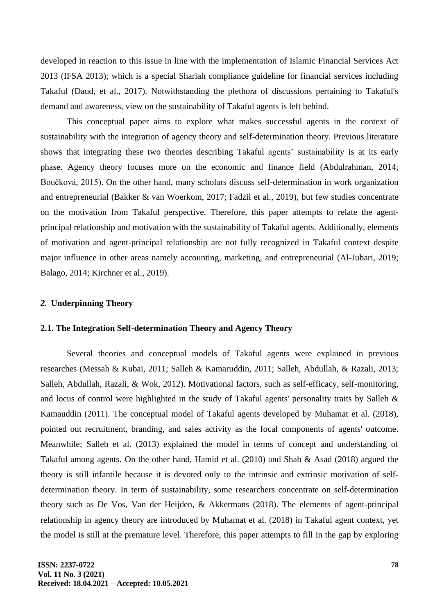developed in reaction to this issue in line with the implementation of Islamic Financial Services Act 2013 (IFSA 2013); which is a special Shariah compliance guideline for financial services including Takaful (Daud, et al., 2017). Notwithstanding the plethora of discussions pertaining to Takaful's demand and awareness, view on the sustainability of Takaful agents is left behind.

This conceptual paper aims to explore what makes successful agents in the context of sustainability with the integration of agency theory and self-determination theory. Previous literature shows that integrating these two theories describing Takaful agents' sustainability is at its early phase. Agency theory focuses more on the economic and finance field (Abdulrahman, 2014; Boučková, 2015). On the other hand, many scholars discuss self-determination in work organization and entrepreneurial (Bakker & van Woerkom, 2017; Fadzil et al., 2019), but few studies concentrate on the motivation from Takaful perspective. Therefore, this paper attempts to relate the agentprincipal relationship and motivation with the sustainability of Takaful agents. Additionally, elements of motivation and agent-principal relationship are not fully recognized in Takaful context despite major influence in other areas namely accounting, marketing, and entrepreneurial (Al-Jubari, 2019; Balago, 2014; Kirchner et al., 2019).

#### *2.* **Underpinning Theory**

#### **2.1. The Integration Self-determination Theory and Agency Theory**

Several theories and conceptual models of Takaful agents were explained in previous researches (Messah & Kubai, 2011; Salleh & Kamaruddin, 2011; Salleh, Abdullah, & Razali, 2013; Salleh, Abdullah, Razali, & Wok, 2012). Motivational factors, such as self-efficacy, self-monitoring, and locus of control were highlighted in the study of Takaful agents' personality traits by Salleh & Kamauddin (2011). The conceptual model of Takaful agents developed by Muhamat et al. (2018), pointed out recruitment, branding, and sales activity as the focal components of agents' outcome. Meanwhile; Salleh et al. (2013) explained the model in terms of concept and understanding of Takaful among agents. On the other hand, Hamid et al. (2010) and Shah & Asad (2018) argued the theory is still infantile because it is devoted only to the intrinsic and extrinsic motivation of selfdetermination theory. In term of sustainability, some researchers concentrate on self-determination theory such as De Vos, Van der Heijden, & Akkermans (2018). The elements of agent-principal relationship in agency theory are introduced by Muhamat et al. (2018) in Takaful agent context, yet the model is still at the premature level. Therefore, this paper attempts to fill in the gap by exploring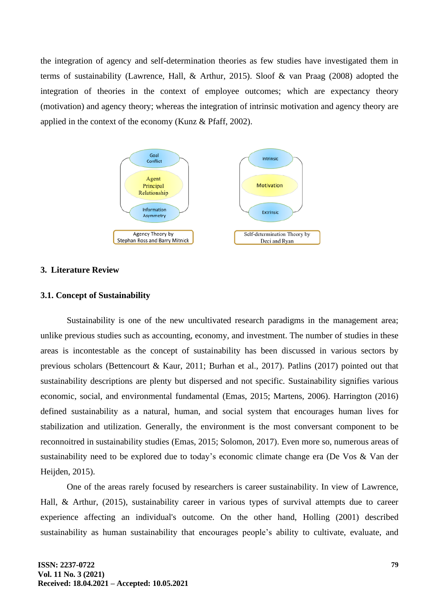the integration of agency and self-determination theories as few studies have investigated them in terms of sustainability (Lawrence, Hall, & Arthur, 2015). Sloof & van Praag (2008) adopted the integration of theories in the context of employee outcomes; which are expectancy theory (motivation) and agency theory; whereas the integration of intrinsic motivation and agency theory are applied in the context of the economy (Kunz & Pfaff, 2002).



## **3. Literature Review**

#### **3.1. Concept of Sustainability**

Sustainability is one of the new uncultivated research paradigms in the management area; unlike previous studies such as accounting, economy, and investment. The number of studies in these areas is incontestable as the concept of sustainability has been discussed in various sectors by previous scholars (Bettencourt & Kaur, 2011; Burhan et al., 2017). Patlins (2017) pointed out that sustainability descriptions are plenty but dispersed and not specific. Sustainability signifies various economic, social, and environmental fundamental (Emas, 2015; Martens, 2006). Harrington (2016) defined sustainability as a natural, human, and social system that encourages human lives for stabilization and utilization. Generally, the environment is the most conversant component to be reconnoitred in sustainability studies (Emas, 2015; Solomon, 2017). Even more so, numerous areas of sustainability need to be explored due to today's economic climate change era (De Vos & Van der Heijden, 2015).

One of the areas rarely focused by researchers is career sustainability. In view of Lawrence, Hall, & Arthur, (2015), sustainability career in various types of survival attempts due to career experience affecting an individual's outcome. On the other hand, Holling (2001) described sustainability as human sustainability that encourages people's ability to cultivate, evaluate, and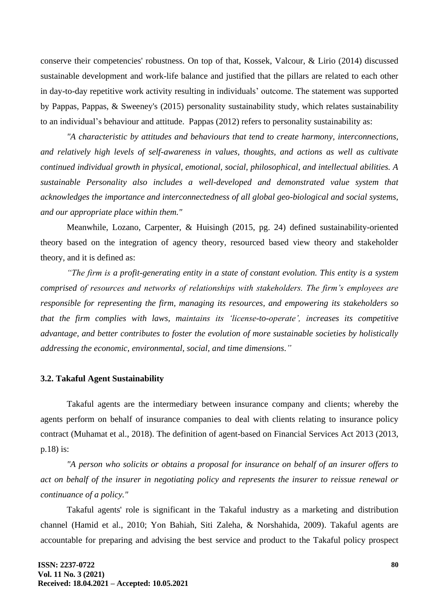conserve their competencies' robustness. On top of that, Kossek, Valcour, & Lirio (2014) discussed sustainable development and work-life balance and justified that the pillars are related to each other in day-to-day repetitive work activity resulting in individuals' outcome. The statement was supported by Pappas, Pappas, & Sweeney's (2015) personality sustainability study, which relates sustainability to an individual's behaviour and attitude. Pappas (2012) refers to personality sustainability as:

*"A characteristic by attitudes and behaviours that tend to create harmony, interconnections, and relatively high levels of self-awareness in values, thoughts, and actions as well as cultivate continued individual growth in physical, emotional, social, philosophical, and intellectual abilities. A sustainable Personality also includes a well-developed and demonstrated value system that acknowledges the importance and interconnectedness of all global geo-biological and social systems, and our appropriate place within them."*

Meanwhile, Lozano, Carpenter, & Huisingh (2015, pg. 24) defined sustainability-oriented theory based on the integration of agency theory, resourced based view theory and stakeholder theory, and it is defined as:

*"The firm is a profit-generating entity in a state of constant evolution. This entity is a system comprised of resources and networks of relationships with stakeholders. The firm's employees are responsible for representing the firm, managing its resources, and empowering its stakeholders so that the firm complies with laws, maintains its 'license-to-operate', increases its competitive advantage, and better contributes to foster the evolution of more sustainable societies by holistically addressing the economic, environmental, social, and time dimensions."*

#### **3.2. Takaful Agent Sustainability**

Takaful agents are the intermediary between insurance company and clients; whereby the agents perform on behalf of insurance companies to deal with clients relating to insurance policy contract (Muhamat et al., 2018). The definition of agent-based on Financial Services Act 2013 (2013, p.18) is:

*"A person who solicits or obtains a proposal for insurance on behalf of an insurer offers to act on behalf of the insurer in negotiating policy and represents the insurer to reissue renewal or continuance of a policy."*

Takaful agents' role is significant in the Takaful industry as a marketing and distribution channel (Hamid et al., 2010; Yon Bahiah, Siti Zaleha, & Norshahida, 2009). Takaful agents are accountable for preparing and advising the best service and product to the Takaful policy prospect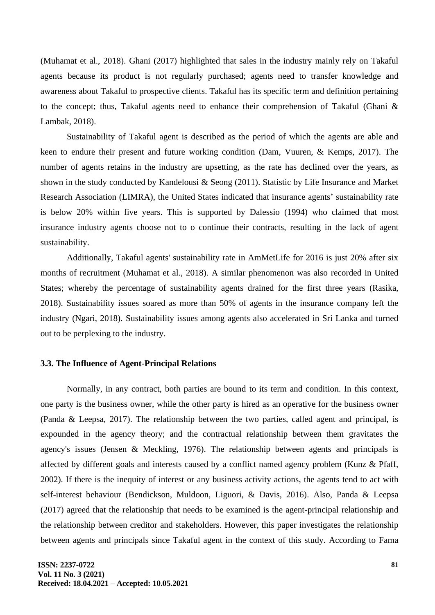(Muhamat et al., 2018). Ghani (2017) highlighted that sales in the industry mainly rely on Takaful agents because its product is not regularly purchased; agents need to transfer knowledge and awareness about Takaful to prospective clients. Takaful has its specific term and definition pertaining to the concept; thus, Takaful agents need to enhance their comprehension of Takaful (Ghani & Lambak, 2018).

Sustainability of Takaful agent is described as the period of which the agents are able and keen to endure their present and future working condition (Dam, Vuuren, & Kemps, 2017). The number of agents retains in the industry are upsetting, as the rate has declined over the years, as shown in the study conducted by Kandelousi & Seong (2011). Statistic by Life Insurance and Market Research Association (LIMRA), the United States indicated that insurance agents' sustainability rate is below 20% within five years. This is supported by Dalessio (1994) who claimed that most insurance industry agents choose not to o continue their contracts, resulting in the lack of agent sustainability.

Additionally, Takaful agents' sustainability rate in AmMetLife for 2016 is just 20% after six months of recruitment (Muhamat et al., 2018). A similar phenomenon was also recorded in United States; whereby the percentage of sustainability agents drained for the first three years (Rasika, 2018). Sustainability issues soared as more than 50% of agents in the insurance company left the industry (Ngari, 2018). Sustainability issues among agents also accelerated in Sri Lanka and turned out to be perplexing to the industry.

## **3.3. The Influence of Agent-Principal Relations**

Normally, in any contract, both parties are bound to its term and condition. In this context, one party is the business owner, while the other party is hired as an operative for the business owner (Panda & Leepsa, 2017). The relationship between the two parties, called agent and principal, is expounded in the agency theory; and the contractual relationship between them gravitates the agency's issues (Jensen & Meckling, 1976). The relationship between agents and principals is affected by different goals and interests caused by a conflict named agency problem (Kunz & Pfaff, 2002). If there is the inequity of interest or any business activity actions, the agents tend to act with self-interest behaviour (Bendickson, Muldoon, Liguori, & Davis, 2016). Also, Panda & Leepsa (2017) agreed that the relationship that needs to be examined is the agent-principal relationship and the relationship between creditor and stakeholders. However, this paper investigates the relationship between agents and principals since Takaful agent in the context of this study. According to Fama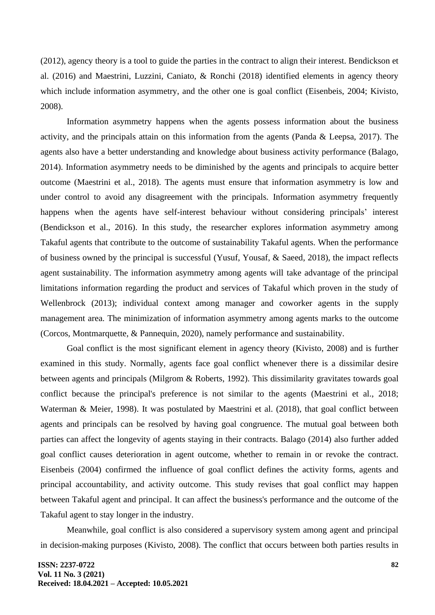(2012), agency theory is a tool to guide the parties in the contract to align their interest. Bendickson et al. (2016) and Maestrini, Luzzini, Caniato, & Ronchi (2018) identified elements in agency theory which include information asymmetry, and the other one is goal conflict (Eisenbeis, 2004; Kivisto, 2008).

Information asymmetry happens when the agents possess information about the business activity, and the principals attain on this information from the agents (Panda & Leepsa, 2017). The agents also have a better understanding and knowledge about business activity performance (Balago, 2014). Information asymmetry needs to be diminished by the agents and principals to acquire better outcome (Maestrini et al., 2018). The agents must ensure that information asymmetry is low and under control to avoid any disagreement with the principals. Information asymmetry frequently happens when the agents have self-interest behaviour without considering principals' interest (Bendickson et al., 2016). In this study, the researcher explores information asymmetry among Takaful agents that contribute to the outcome of sustainability Takaful agents. When the performance of business owned by the principal is successful (Yusuf, Yousaf, & Saeed, 2018), the impact reflects agent sustainability. The information asymmetry among agents will take advantage of the principal limitations information regarding the product and services of Takaful which proven in the study of Wellenbrock (2013); individual context among manager and coworker agents in the supply management area. The minimization of information asymmetry among agents marks to the outcome (Corcos, Montmarquette, & Pannequin, 2020), namely performance and sustainability.

Goal conflict is the most significant element in agency theory (Kivisto, 2008) and is further examined in this study. Normally, agents face goal conflict whenever there is a dissimilar desire between agents and principals (Milgrom & Roberts, 1992). This dissimilarity gravitates towards goal conflict because the principal's preference is not similar to the agents (Maestrini et al., 2018; Waterman & Meier, 1998). It was postulated by Maestrini et al. (2018), that goal conflict between agents and principals can be resolved by having goal congruence. The mutual goal between both parties can affect the longevity of agents staying in their contracts. Balago (2014) also further added goal conflict causes deterioration in agent outcome, whether to remain in or revoke the contract. Eisenbeis (2004) confirmed the influence of goal conflict defines the activity forms, agents and principal accountability, and activity outcome. This study revises that goal conflict may happen between Takaful agent and principal. It can affect the business's performance and the outcome of the Takaful agent to stay longer in the industry.

Meanwhile, goal conflict is also considered a supervisory system among agent and principal in decision-making purposes (Kivisto, 2008). The conflict that occurs between both parties results in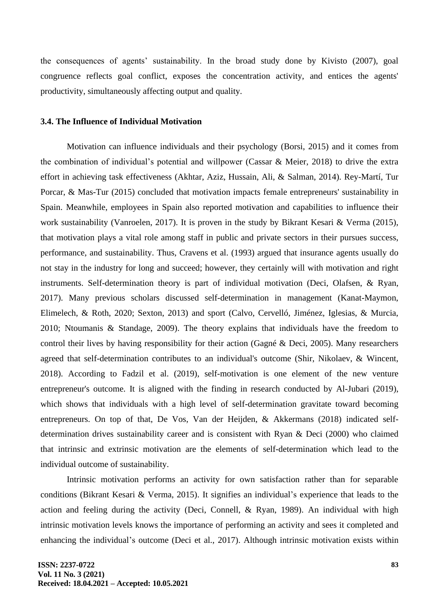the consequences of agents' sustainability. In the broad study done by Kivisto (2007), goal congruence reflects goal conflict, exposes the concentration activity, and entices the agents' productivity, simultaneously affecting output and quality.

#### **3.4. The Influence of Individual Motivation**

Motivation can influence individuals and their psychology (Borsi, 2015) and it comes from the combination of individual's potential and willpower (Cassar & Meier, 2018) to drive the extra effort in achieving task effectiveness (Akhtar, Aziz, Hussain, Ali, & Salman, 2014). Rey-Martí, Tur Porcar, & Mas-Tur (2015) concluded that motivation impacts female entrepreneurs' sustainability in Spain. Meanwhile, employees in Spain also reported motivation and capabilities to influence their work sustainability (Vanroelen, 2017). It is proven in the study by Bikrant Kesari & Verma (2015), that motivation plays a vital role among staff in public and private sectors in their pursues success, performance, and sustainability. Thus, Cravens et al. (1993) argued that insurance agents usually do not stay in the industry for long and succeed; however, they certainly will with motivation and right instruments. Self-determination theory is part of individual motivation (Deci, Olafsen, & Ryan, 2017). Many previous scholars discussed self-determination in management (Kanat-Maymon, Elimelech, & Roth, 2020; Sexton, 2013) and sport (Calvo, Cervelló, Jiménez, Iglesias, & Murcia, 2010; Ntoumanis & Standage, 2009). The theory explains that individuals have the freedom to control their lives by having responsibility for their action (Gagné & Deci, 2005). Many researchers agreed that self-determination contributes to an individual's outcome (Shir, Nikolaev, & Wincent, 2018). According to Fadzil et al. (2019), self-motivation is one element of the new venture entrepreneur's outcome. It is aligned with the finding in research conducted by Al-Jubari (2019), which shows that individuals with a high level of self-determination gravitate toward becoming entrepreneurs. On top of that, De Vos, Van der Heijden, & Akkermans (2018) indicated selfdetermination drives sustainability career and is consistent with Ryan & Deci (2000) who claimed that intrinsic and extrinsic motivation are the elements of self-determination which lead to the individual outcome of sustainability.

Intrinsic motivation performs an activity for own satisfaction rather than for separable conditions (Bikrant Kesari & Verma, 2015). It signifies an individual's experience that leads to the action and feeling during the activity (Deci, Connell, & Ryan, 1989). An individual with high intrinsic motivation levels knows the importance of performing an activity and sees it completed and enhancing the individual's outcome (Deci et al., 2017). Although intrinsic motivation exists within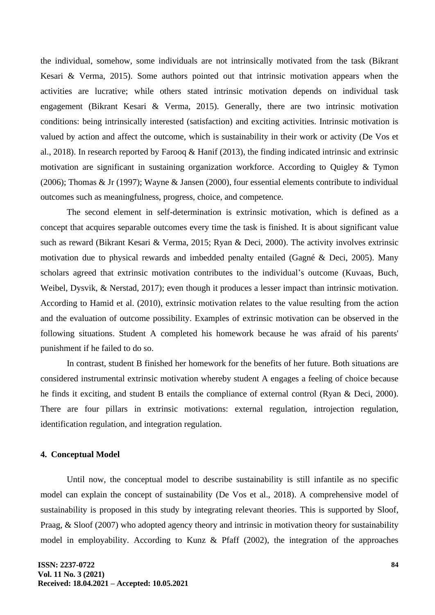the individual, somehow, some individuals are not intrinsically motivated from the task (Bikrant Kesari & Verma, 2015). Some authors pointed out that intrinsic motivation appears when the activities are lucrative; while others stated intrinsic motivation depends on individual task engagement (Bikrant Kesari & Verma, 2015). Generally, there are two intrinsic motivation conditions: being intrinsically interested (satisfaction) and exciting activities. Intrinsic motivation is valued by action and affect the outcome, which is sustainability in their work or activity (De Vos et al., 2018). In research reported by Farooq & Hanif (2013), the finding indicated intrinsic and extrinsic motivation are significant in sustaining organization workforce. According to Quigley & Tymon (2006); Thomas & Jr (1997); Wayne & Jansen (2000), four essential elements contribute to individual outcomes such as meaningfulness, progress, choice, and competence.

The second element in self-determination is extrinsic motivation, which is defined as a concept that acquires separable outcomes every time the task is finished. It is about significant value such as reward (Bikrant Kesari & Verma, 2015; Ryan & Deci, 2000). The activity involves extrinsic motivation due to physical rewards and imbedded penalty entailed (Gagné & Deci, 2005). Many scholars agreed that extrinsic motivation contributes to the individual's outcome (Kuvaas, Buch, Weibel, Dysvik, & Nerstad, 2017); even though it produces a lesser impact than intrinsic motivation. According to Hamid et al. (2010), extrinsic motivation relates to the value resulting from the action and the evaluation of outcome possibility. Examples of extrinsic motivation can be observed in the following situations. Student A completed his homework because he was afraid of his parents' punishment if he failed to do so.

In contrast, student B finished her homework for the benefits of her future. Both situations are considered instrumental extrinsic motivation whereby student A engages a feeling of choice because he finds it exciting, and student B entails the compliance of external control (Ryan & Deci, 2000). There are four pillars in extrinsic motivations: external regulation, introjection regulation, identification regulation, and integration regulation.

## **4. Conceptual Model**

Until now, the conceptual model to describe sustainability is still infantile as no specific model can explain the concept of sustainability (De Vos et al., 2018). A comprehensive model of sustainability is proposed in this study by integrating relevant theories. This is supported by Sloof, Praag, & Sloof (2007) who adopted agency theory and intrinsic in motivation theory for sustainability model in employability. According to Kunz & Pfaff (2002), the integration of the approaches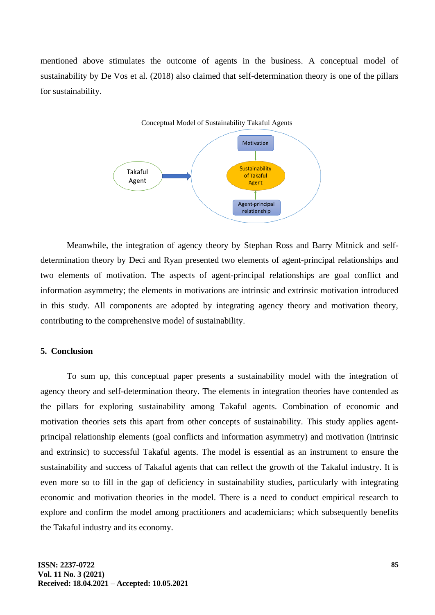mentioned above stimulates the outcome of agents in the business. A conceptual model of sustainability by De Vos et al. (2018) also claimed that self-determination theory is one of the pillars for sustainability.



Meanwhile, the integration of agency theory by Stephan Ross and Barry Mitnick and selfdetermination theory by Deci and Ryan presented two elements of agent-principal relationships and two elements of motivation. The aspects of agent-principal relationships are goal conflict and information asymmetry; the elements in motivations are intrinsic and extrinsic motivation introduced in this study. All components are adopted by integrating agency theory and motivation theory, contributing to the comprehensive model of sustainability.

## **5. Conclusion**

To sum up, this conceptual paper presents a sustainability model with the integration of agency theory and self-determination theory. The elements in integration theories have contended as the pillars for exploring sustainability among Takaful agents. Combination of economic and motivation theories sets this apart from other concepts of sustainability. This study applies agentprincipal relationship elements (goal conflicts and information asymmetry) and motivation (intrinsic and extrinsic) to successful Takaful agents. The model is essential as an instrument to ensure the sustainability and success of Takaful agents that can reflect the growth of the Takaful industry. It is even more so to fill in the gap of deficiency in sustainability studies, particularly with integrating economic and motivation theories in the model. There is a need to conduct empirical research to explore and confirm the model among practitioners and academicians; which subsequently benefits the Takaful industry and its economy.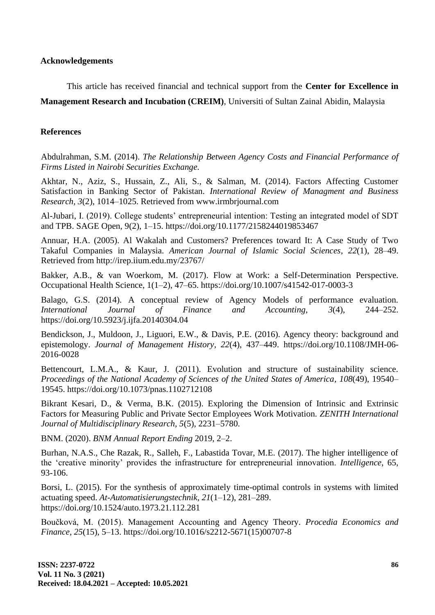#### **Acknowledgements**

This article has received financial and technical support from the **Center for Excellence in Management Research and Incubation (CREIM)**, Universiti of Sultan Zainal Abidin, Malaysia

### **References**

Abdulrahman, S.M. (2014). *The Relationship Between Agency Costs and Financial Performance of Firms Listed in Nairobi Securities Exchange.*

Akhtar, N., Aziz, S., Hussain, Z., Ali, S., & Salman, M. (2014). Factors Affecting Customer Satisfaction in Banking Sector of Pakistan. *International Review of Managment and Business Research, 3*(2), 1014–1025. Retrieved from www.irmbrjournal.com

Al-Jubari, I. (2019). College students' entrepreneurial intention: Testing an integrated model of SDT and TPB. SAGE Open, 9(2), 1–15. https://doi.org/10.1177/2158244019853467

Annuar, H.A. (2005). Al Wakalah and Customers? Preferences toward It: A Case Study of Two Takaful Companies in Malaysia. *American Journal of Islamic Social Sciences, 22*(1), 28–49. Retrieved from http://irep.iium.edu.my/23767/

Bakker, A.B., & van Woerkom, M. (2017). Flow at Work: a Self-Determination Perspective. Occupational Health Science, 1(1–2), 47–65. https://doi.org/10.1007/s41542-017-0003-3

Balago, G.S. (2014). A conceptual review of Agency Models of performance evaluation. *International Journal of Finance and Accounting, 3*(4), 244–252. https://doi.org/10.5923/j.ijfa.20140304.04

Bendickson, J., Muldoon, J., Liguori, E.W., & Davis, P.E. (2016). Agency theory: background and epistemology. *Journal of Management History, 22*(4), 437–449. https://doi.org/10.1108/JMH-06- 2016-0028

Bettencourt, L.M.A., & Kaur, J. (2011). Evolution and structure of sustainability science. *Proceedings of the National Academy of Sciences of the United States of America, 108*(49), 19540– 19545. https://doi.org/10.1073/pnas.1102712108

Bikrant Kesari, D., & Verma, B.K. (2015). Exploring the Dimension of Intrinsic and Extrinsic Factors for Measuring Public and Private Sector Employees Work Motivation. *ZENITH International Journal of Multidisciplinary Research, 5*(5), 2231–5780.

BNM. (2020). *BNM Annual Report Ending* 2019, 2–2.

Burhan, N.A.S., Che Razak, R., Salleh, F., Labastida Tovar, M.E. (2017). The higher intelligence of the 'creative minority' provides the infrastructure for entrepreneurial innovation. *Intelligence,* 65, 93-106.

Borsi, L. (2015). For the synthesis of approximately time-optimal controls in systems with limited actuating speed. *At-Automatisierungstechnik, 21*(1–12), 281–289. https://doi.org/10.1524/auto.1973.21.112.281

Boučková, M. (2015). Management Accounting and Agency Theory. *Procedia Economics and Finance, 25*(15), 5–13. https://doi.org/10.1016/s2212-5671(15)00707-8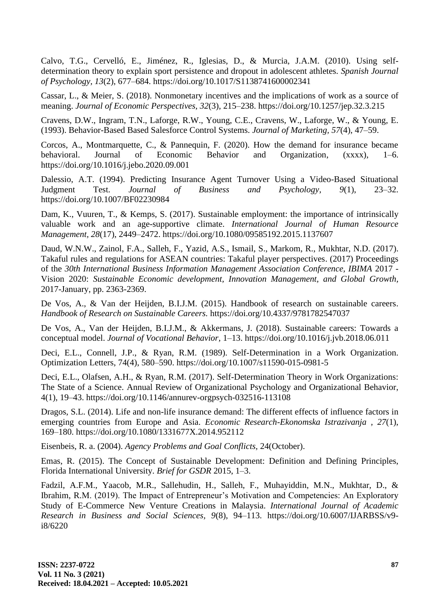Calvo, T.G., Cervelló, E., Jiménez, R., Iglesias, D., & Murcia, J.A.M. (2010). Using selfdetermination theory to explain sport persistence and dropout in adolescent athletes. *Spanish Journal of Psychology, 13*(2), 677–684. https://doi.org/10.1017/S1138741600002341

Cassar, L., & Meier, S. (2018). Nonmonetary incentives and the implications of work as a source of meaning. *Journal of Economic Perspectives, 32*(3), 215–238. https://doi.org/10.1257/jep.32.3.215

Cravens, D.W., Ingram, T.N., Laforge, R.W., Young, C.E., Cravens, W., Laforge, W., & Young, E. (1993). Behavior-Based Based Salesforce Control Systems. *Journal of Marketing, 57*(4), 47–59.

Corcos, A., Montmarquette, C., & Pannequin, F. (2020). How the demand for insurance became behavioral. Journal of Economic Behavior and Organization, (xxxx), 1–6. https://doi.org/10.1016/j.jebo.2020.09.001

Dalessio, A.T. (1994). Predicting Insurance Agent Turnover Using a Video-Based Situational Judgment Test. *Journal of Business and Psychology, 9*(1), 23–32. https://doi.org/10.1007/BF02230984

Dam, K., Vuuren, T., & Kemps, S. (2017). Sustainable employment: the importance of intrinsically valuable work and an age-supportive climate. *International Journal of Human Resource Management, 28*(17), 2449–2472. https://doi.org/10.1080/09585192.2015.1137607

Daud, W.N.W., Zainol, F.A., Salleh, F., Yazid, A.S., Ismail, S., Markom, R., Mukhtar, N.D. (2017). Takaful rules and regulations for ASEAN countries: Takaful player perspectives. (2017) Proceedings of the *30th International Business Information Management Association Conference, IBIMA* 2017 - Vision 2020: *Sustainable Economic development, Innovation Management, and Global Growth,* 2017-January, pp. 2363-2369.

De Vos, A., & Van der Heijden, B.I.J.M. (2015). Handbook of research on sustainable careers. *Handbook of Research on Sustainable Careers.* https://doi.org/10.4337/9781782547037

De Vos, A., Van der Heijden, B.I.J.M., & Akkermans, J. (2018). Sustainable careers: Towards a conceptual model. *Journal of Vocational Behavior,* 1–13. https://doi.org/10.1016/j.jvb.2018.06.011

Deci, E.L., Connell, J.P., & Ryan, R.M. (1989). Self-Determination in a Work Organization. Optimization Letters, 74(4), 580–590. https://doi.org/10.1007/s11590-015-0981-5

Deci, E.L., Olafsen, A.H., & Ryan, R.M. (2017). Self-Determination Theory in Work Organizations: The State of a Science. Annual Review of Organizational Psychology and Organizational Behavior, 4(1), 19–43. https://doi.org/10.1146/annurev-orgpsych-032516-113108

Dragos, S.L. (2014). Life and non-life insurance demand: The different effects of influence factors in emerging countries from Europe and Asia. *Economic Research-Ekonomska Istrazivanja , 27*(1), 169–180. https://doi.org/10.1080/1331677X.2014.952112

Eisenbeis, R. a. (2004). *Agency Problems and Goal Conflicts,* 24(October).

Emas, R. (2015). The Concept of Sustainable Development: Definition and Defining Principles, Florida International University. *Brief for GSDR* 2015, 1–3.

Fadzil, A.F.M., Yaacob, M.R., Sallehudin, H., Salleh, F., Muhayiddin, M.N., Mukhtar, D., & Ibrahim, R.M. (2019). The Impact of Entrepreneur's Motivation and Competencies: An Exploratory Study of E-Commerce New Venture Creations in Malaysia. *International Journal of Academic Research in Business and Social Sciences, 9*(8), 94–113. https://doi.org/10.6007/IJARBSS/v9 i8/6220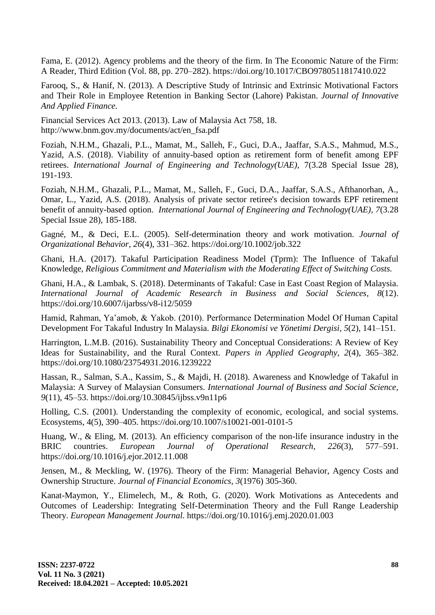Fama, E. (2012). Agency problems and the theory of the firm. In The Economic Nature of the Firm: A Reader, Third Edition (Vol. 88, pp. 270–282). https://doi.org/10.1017/CBO9780511817410.022

Farooq, S., & Hanif, N. (2013). A Descriptive Study of Intrinsic and Extrinsic Motivational Factors and Their Role in Employee Retention in Banking Sector (Lahore) Pakistan. *Journal of Innovative And Applied Finance.*

Financial Services Act 2013. (2013). Law of Malaysia Act 758, 18. http://www.bnm.gov.my/documents/act/en\_fsa.pdf

Foziah, N.H.M., Ghazali, P.L., Mamat, M., Salleh, F., Guci, D.A., Jaaffar, S.A.S., Mahmud, M.S., Yazid, A.S. (2018). Viability of annuity-based option as retirement form of benefit among EPF retirees. *International Journal of Engineering and Technology(UAE),* 7(3.28 Special Issue 28), 191-193.

Foziah, N.H.M., Ghazali, P.L., Mamat, M., Salleh, F., Guci, D.A., Jaaffar, S.A.S., Afthanorhan, A., Omar, L., Yazid, A.S. (2018). Analysis of private sector retiree's decision towards EPF retirement benefit of annuity-based option. *International Journal of Engineering and Technology(UAE), 7*(3.28 Special Issue 28), 185-188.

Gagné, M., & Deci, E.L. (2005). Self-determination theory and work motivation. *Journal of Organizational Behavior, 26*(4), 331–362. https://doi.org/10.1002/job.322

Ghani, H.A. (2017). Takaful Participation Readiness Model (Tprm): The Influence of Takaful Knowledge, *Religious Commitment and Materialism with the Moderating Effect of Switching Costs.*

Ghani, H.A., & Lambak, S. (2018). Determinants of Takaful: Case in East Coast Region of Malaysia. *International Journal of Academic Research in Business and Social Sciences, 8*(12). https://doi.org/10.6007/ijarbss/v8-i12/5059

Hamid, Rahman, Ya'amob, & Yakob. (2010). Performance Determination Model Of Human Capital Development For Takaful Industry In Malaysia. *Bilgi Ekonomisi ve Yönetimi Dergisi, 5*(2), 141–151.

Harrington, L.M.B. (2016). Sustainability Theory and Conceptual Considerations: A Review of Key Ideas for Sustainability, and the Rural Context. *Papers in Applied Geography, 2*(4), 365–382. https://doi.org/10.1080/23754931.2016.1239222

Hassan, R., Salman, S.A., Kassim, S., & Majdi, H. (2018). Awareness and Knowledge of Takaful in Malaysia: A Survey of Malaysian Consumers. *International Journal of Business and Social Science, 9*(11), 45–53. https://doi.org/10.30845/ijbss.v9n11p6

Holling, C.S. (2001). Understanding the complexity of economic, ecological, and social systems. Ecosystems, 4(5), 390–405. https://doi.org/10.1007/s10021-001-0101-5

Huang, W., & Eling, M. (2013). An efficiency comparison of the non-life insurance industry in the BRIC countries. *European Journal of Operational Research, 226*(3), 577–591. https://doi.org/10.1016/j.ejor.2012.11.008

Jensen, M., & Meckling, W. (1976). Theory of the Firm: Managerial Behavior, Agency Costs and Ownership Structure. *Journal of Financial Economics, 3*(1976) 305-360.

Kanat-Maymon, Y., Elimelech, M., & Roth, G. (2020). Work Motivations as Antecedents and Outcomes of Leadership: Integrating Self-Determination Theory and the Full Range Leadership Theory. *European Management Journal.* https://doi.org/10.1016/j.emj.2020.01.003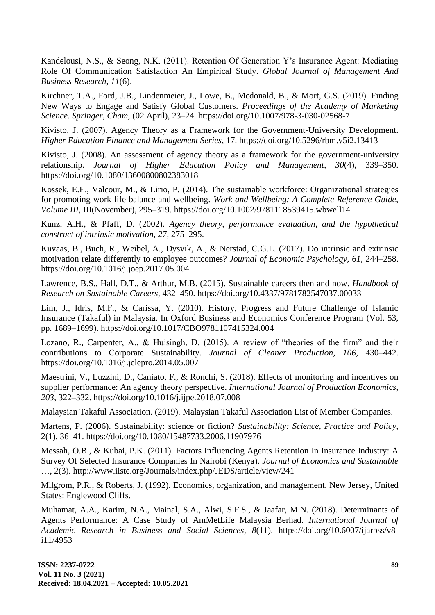Kandelousi, N.S., & Seong, N.K. (2011). Retention Of Generation Y's Insurance Agent: Mediating Role Of Communication Satisfaction An Empirical Study. *Global Journal of Management And Business Research, 11*(6).

Kirchner, T.A., Ford, J.B., Lindenmeier, J., Lowe, B., Mcdonald, B., & Mort, G.S. (2019). Finding New Ways to Engage and Satisfy Global Customers. *Proceedings of the Academy of Marketing Science. Springer, Cham,* (02 April), 23–24. https://doi.org/10.1007/978-3-030-02568-7

Kivisto, J. (2007). Agency Theory as a Framework for the Government-University Development. *Higher Education Finance and Management Series,* 17. https://doi.org/10.5296/rbm.v5i2.13413

Kivisto, J. (2008). An assessment of agency theory as a framework for the government-university relationship. *Journal of Higher Education Policy and Management, 30*(4), 339–350. https://doi.org/10.1080/13600800802383018

Kossek, E.E., Valcour, M., & Lirio, P. (2014). The sustainable workforce: Organizational strategies for promoting work-life balance and wellbeing. *Work and Wellbeing: A Complete Reference Guide, Volume III,* III(November), 295–319. https://doi.org/10.1002/9781118539415.wbwell14

Kunz, A.H., & Pfaff, D. (2002). *Agency theory, performance evaluation, and the hypothetical construct of intrinsic motivation, 27,* 275–295.

Kuvaas, B., Buch, R., Weibel, A., Dysvik, A., & Nerstad, C.G.L. (2017). Do intrinsic and extrinsic motivation relate differently to employee outcomes? *Journal of Economic Psychology, 61,* 244–258. https://doi.org/10.1016/j.joep.2017.05.004

Lawrence, B.S., Hall, D.T., & Arthur, M.B. (2015). Sustainable careers then and now. *Handbook of Research on Sustainable Careers,* 432–450. https://doi.org/10.4337/9781782547037.00033

Lim, J., Idris, M.F., & Carissa, Y. (2010). History, Progress and Future Challenge of Islamic Insurance (Takaful) in Malaysia. In Oxford Business and Economics Conference Program (Vol. 53, pp. 1689–1699). https://doi.org/10.1017/CBO9781107415324.004

Lozano, R., Carpenter, A., & Huisingh, D. (2015). A review of "theories of the firm" and their contributions to Corporate Sustainability. *Journal of Cleaner Production, 106,* 430–442. https://doi.org/10.1016/j.jclepro.2014.05.007

Maestrini, V., Luzzini, D., Caniato, F., & Ronchi, S. (2018). Effects of monitoring and incentives on supplier performance: An agency theory perspective. *International Journal of Production Economics, 203,* 322–332. https://doi.org/10.1016/j.ijpe.2018.07.008

Malaysian Takaful Association. (2019). Malaysian Takaful Association List of Member Companies.

Martens, P. (2006). Sustainability: science or fiction? *Sustainability: Science, Practice and Policy,* 2(1), 36–41. https://doi.org/10.1080/15487733.2006.11907976

Messah, O.B., & Kubai, P.K. (2011). Factors Influencing Agents Retention In Insurance Industry: A Survey Of Selected Insurance Companies In Nairobi (Kenya). *Journal of Economics and Sustainable* …, 2(3). http://www.iiste.org/Journals/index.php/JEDS/article/view/241

Milgrom, P.R., & Roberts, J. (1992). Economics, organization, and management. New Jersey, United States: Englewood Cliffs.

Muhamat, A.A., Karim, N.A., Mainal, S.A., Alwi, S.F.S., & Jaafar, M.N. (2018). Determinants of Agents Performance: A Case Study of AmMetLife Malaysia Berhad. *International Journal of Academic Research in Business and Social Sciences, 8*(11). https://doi.org/10.6007/ijarbss/v8 i11/4953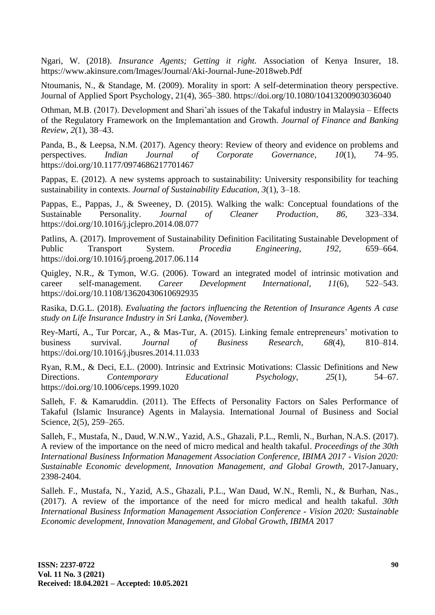Ngari, W. (2018). *Insurance Agents; Getting it right.* Association of Kenya Insurer, 18. https://www.akinsure.com/Images/Journal/Aki-Journal-June-2018web.Pdf

Ntoumanis, N., & Standage, M. (2009). Morality in sport: A self-determination theory perspective. Journal of Applied Sport Psychology, 21(4), 365–380. https://doi.org/10.1080/10413200903036040

Othman, M.B. (2017). Development and Shari'ah issues of the Takaful industry in Malaysia – Effects of the Regulatory Framework on the Implemantation and Growth. *Journal of Finance and Banking Review, 2*(1), 38–43.

Panda, B., & Leepsa, N.M. (2017). Agency theory: Review of theory and evidence on problems and perspectives. *Indian Journal of Corporate Governance, 10*(1), 74–95. https://doi.org/10.1177/0974686217701467

Pappas, E. (2012). A new systems approach to sustainability: University responsibility for teaching sustainability in contexts. *Journal of Sustainability Education, 3*(1), 3–18.

Pappas, E., Pappas, J., & Sweeney, D. (2015). Walking the walk: Conceptual foundations of the Sustainable Personality. *Journal of Cleaner Production, 86,* 323–334. https://doi.org/10.1016/j.jclepro.2014.08.077

Patlins, A. (2017). Improvement of Sustainability Definition Facilitating Sustainable Development of Public Transport System. *Procedia Engineering, 192,* 659–664. https://doi.org/10.1016/j.proeng.2017.06.114

Quigley, N.R., & Tymon, W.G. (2006). Toward an integrated model of intrinsic motivation and career self-management. *Career Development International, 11*(6), 522–543. https://doi.org/10.1108/13620430610692935

Rasika, D.G.L. (2018). *Evaluating the factors influencing the Retention of Insurance Agents A case study on Life Insurance Industry in Sri Lanka, (November).*

Rey-Martí, A., Tur Porcar, A., & Mas-Tur, A. (2015). Linking female entrepreneurs' motivation to business survival. *Journal of Business Research, 68*(4), 810–814. https://doi.org/10.1016/j.jbusres.2014.11.033

Ryan, R.M., & Deci, E.L. (2000). Intrinsic and Extrinsic Motivations: Classic Definitions and New Directions. *Contemporary Educational Psychology, 25*(1), 54–67. https://doi.org/10.1006/ceps.1999.1020

Salleh, F. & Kamaruddin. (2011). The Effects of Personality Factors on Sales Performance of Takaful (Islamic Insurance) Agents in Malaysia. International Journal of Business and Social Science, 2(5), 259–265.

Salleh, F., Mustafa, N., Daud, W.N.W., Yazid, A.S., Ghazali, P.L., Remli, N., Burhan, N.A.S. (2017). A review of the importance on the need of micro medical and health takaful. *Proceedings of the 30th International Business Information Management Association Conference, IBIMA 2017 - Vision 2020: Sustainable Economic development, Innovation Management, and Global Growth,* 2017-January, 2398-2404.

Salleh. F., Mustafa, N., Yazid, A.S., Ghazali, P.L., Wan Daud, W.N., Remli, N., & Burhan, Nas., (2017). A review of the importance of the need for micro medical and health takaful. *30th International Business Information Management Association Conference - Vision 2020: Sustainable Economic development, Innovation Management, and Global Growth, IBIMA* 2017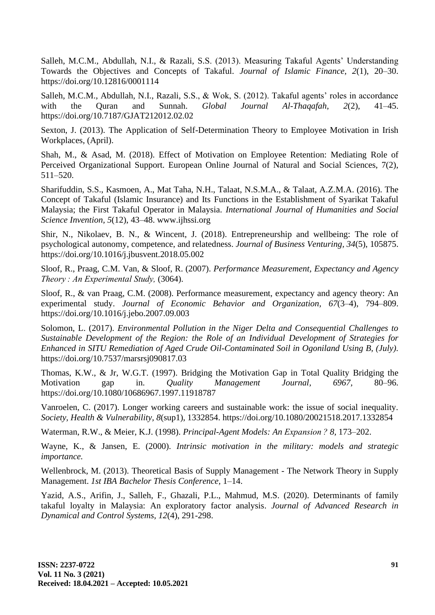Salleh, M.C.M., Abdullah, N.I., & Razali, S.S. (2013). Measuring Takaful Agents' Understanding Towards the Objectives and Concepts of Takaful. *Journal of Islamic Finance, 2*(1), 20–30. https://doi.org/10.12816/0001114

Salleh, M.C.M., Abdullah, N.I., Razali, S.S., & Wok, S. (2012). Takaful agents' roles in accordance with the Quran and Sunnah. *Global Journal Al-Thaqafah, 2*(2), 41–45. https://doi.org/10.7187/GJAT212012.02.02

Sexton, J. (2013). The Application of Self-Determination Theory to Employee Motivation in Irish Workplaces, (April).

Shah, M., & Asad, M. (2018). Effect of Motivation on Employee Retention: Mediating Role of Perceived Organizational Support. European Online Journal of Natural and Social Sciences, 7(2), 511–520.

Sharifuddin, S.S., Kasmoen, A., Mat Taha, N.H., Talaat, N.S.M.A., & Talaat, A.Z.M.A. (2016). The Concept of Takaful (Islamic Insurance) and Its Functions in the Establishment of Syarikat Takaful Malaysia; the First Takaful Operator in Malaysia. *International Journal of Humanities and Social Science Invention, 5*(12), 43–48. www.ijhssi.org

Shir, N., Nikolaev, B. N., & Wincent, J. (2018). Entrepreneurship and wellbeing: The role of psychological autonomy, competence, and relatedness. *Journal of Business Venturing, 34*(5), 105875. https://doi.org/10.1016/j.jbusvent.2018.05.002

Sloof, R., Praag, C.M. Van, & Sloof, R. (2007). *Performance Measurement, Expectancy and Agency Theory : An Experimental Study,* (3064).

Sloof, R., & van Praag, C.M. (2008). Performance measurement, expectancy and agency theory: An experimental study. *Journal of Economic Behavior and Organization, 67*(3–4), 794–809. https://doi.org/10.1016/j.jebo.2007.09.003

Solomon, L. (2017). *Environmental Pollution in the Niger Delta and Consequential Challenges to Sustainable Development of the Region: the Role of an Individual Development of Strategies for Enhanced in SITU Remediation of Aged Crude Oil-Contaminated Soil in Ogoniland Using B, (July).* https://doi.org/10.7537/marsrsj090817.03

Thomas, K.W., & Jr, W.G.T. (1997). Bridging the Motivation Gap in Total Quality Bridging the Motivation gap in. *Quality Management Journal, 6967,* 80–96. https://doi.org/10.1080/10686967.1997.11918787

Vanroelen, C. (2017). Longer working careers and sustainable work: the issue of social inequality. *Society, Health & Vulnerability, 8*(sup1), 1332854. https://doi.org/10.1080/20021518.2017.1332854

Waterman, R.W., & Meier, K.J. (1998). *Principal-Agent Models: An Expansion ? 8,* 173–202.

Wayne, K., & Jansen, E. (2000). *Intrinsic motivation in the military: models and strategic importance.*

Wellenbrock, M. (2013). Theoretical Basis of Supply Management - The Network Theory in Supply Management. *1st IBA Bachelor Thesis Conference,* 1–14.

Yazid, A.S., Arifin, J., Salleh, F., Ghazali, P.L., Mahmud, M.S. (2020). Determinants of family takaful loyalty in Malaysia: An exploratory factor analysis. *Journal of Advanced Research in Dynamical and Control Systems, 12*(4), 291-298.